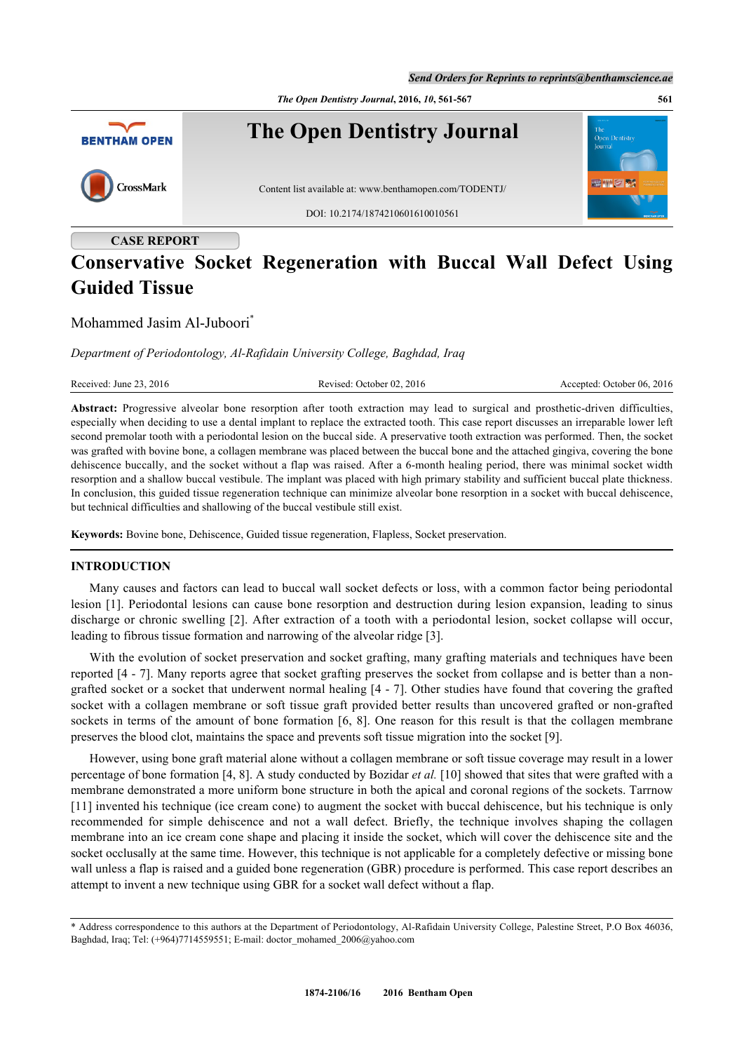*The Open Dentistry Journal***, 2016,** *10***, 561-567 561**



# **CASE REPORT**

# **Conservative Socket Regeneration with Buccal Wall Defect Using Guided Tissue**

# Mohammed Jasim Al-Juboori[\\*](#page-0-0)

*Department of Periodontology, Al-Rafidain University College, Baghdad, Iraq*

Received: June 23, 2016 Revised: October 02, 2016 Revised: October 02, 2016 Accepted: October 06, 2016

**Abstract:** Progressive alveolar bone resorption after tooth extraction may lead to surgical and prosthetic-driven difficulties, especially when deciding to use a dental implant to replace the extracted tooth. This case report discusses an irreparable lower left second premolar tooth with a periodontal lesion on the buccal side. A preservative tooth extraction was performed. Then, the socket was grafted with bovine bone, a collagen membrane was placed between the buccal bone and the attached gingiva, covering the bone dehiscence buccally, and the socket without a flap was raised. After a 6-month healing period, there was minimal socket width resorption and a shallow buccal vestibule. The implant was placed with high primary stability and sufficient buccal plate thickness. In conclusion, this guided tissue regeneration technique can minimize alveolar bone resorption in a socket with buccal dehiscence, but technical difficulties and shallowing of the buccal vestibule still exist.

**Keywords:** Bovine bone, Dehiscence, Guided tissue regeneration, Flapless, Socket preservation.

## **INTRODUCTION**

Many causes and factors can lead to buccal wall socket defects or loss, with a common factor being periodontal lesion [\[1](#page-5-0)]. Periodontal lesions can cause bone resorption and destruction during lesion expansion, leading to sinus discharge or chronic swelling [\[2\]](#page-5-1). After extraction of a tooth with a periodontal lesion, socket collapse will occur, leading to fibrous tissue formation and narrowing of the alveolar ridge [\[3](#page-5-2)].

With the evolution of socket preservation and socket grafting, many grafting materials and techniques have been reported [\[4](#page-5-3) - [7\]](#page-5-4). Many reports agree that socket grafting preserves the socket from collapse and is better than a nongrafted socket or a socket that underwent normal healing [\[4](#page-5-3) - [7](#page-5-4)]. Other studies have found that covering the grafted socket with a collagen membrane or soft tissue graft provided better results than uncovered grafted or non-grafted sockets in terms of the amount of bone formation [[6](#page-5-5), [8\]](#page-5-6). One reason for this result is that the collagen membrane preserves the blood clot, maintains the space and prevents soft tissue migration into the socket [\[9](#page-5-7)].

However, using bone graft material alone without a collagen membrane or soft tissue coverage may result in a lower percentage of bone formation [\[4](#page-5-3), [8](#page-5-6)]. A study conducted by Bozidar *et al.* [[10\]](#page-5-8) showed that sites that were grafted with a membrane demonstrated a more uniform bone structure in both the apical and coronal regions of the sockets. Tarrnow [\[11](#page-5-9)] invented his technique (ice cream cone) to augment the socket with buccal dehiscence, but his technique is only recommended for simple dehiscence and not a wall defect. Briefly, the technique involves shaping the collagen membrane into an ice cream cone shape and placing it inside the socket, which will cover the dehiscence site and the socket occlusally at the same time. However, this technique is not applicable for a completely defective or missing bone wall unless a flap is raised and a guided bone regeneration (GBR) procedure is performed. This case report describes an attempt to invent a new technique using GBR for a socket wall defect without a flap.

<span id="page-0-0"></span><sup>\*</sup> Address correspondence to this authors at the Department of Periodontology, Al-Rafidain University College, Palestine Street, P.O Box 46036, Baghdad, Iraq; Tel: (+964)7714559551; E-mail: [doctor\\_mohamed\\_2006@yahoo.com](mailto:doctor_mohamed_2006@yahoo.com)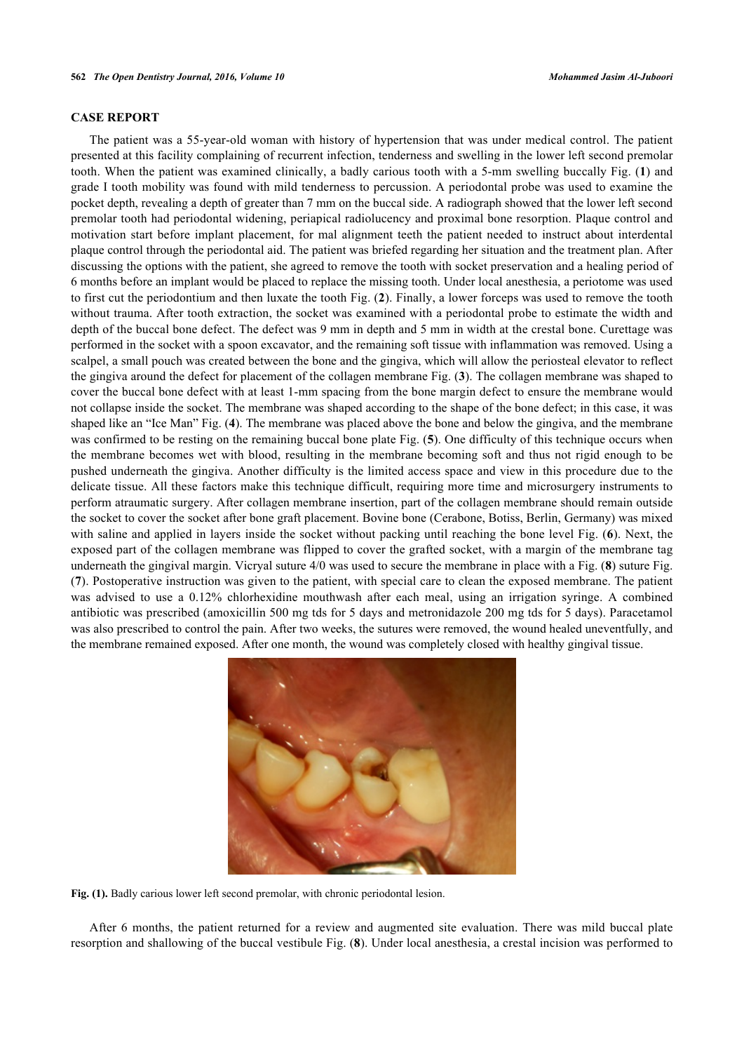#### **CASE REPORT**

The patient was a 55-year-old woman with history of hypertension that was under medical control. The patient presented at this facility complaining of recurrent infection, tenderness and swelling in the lower left second premolar tooth. When the patient was examined clinically, a badly carious tooth with a 5-mm swelling buccally Fig. (**[1](#page-1-0)**) and grade I tooth mobility was found with mild tenderness to percussion. A periodontal probe was used to examine the pocket depth, revealing a depth of greater than 7 mm on the buccal side. A radiograph showed that the lower left second premolar tooth had periodontal widening, periapical radiolucency and proximal bone resorption. Plaque control and motivation start before implant placement, for mal alignment teeth the patient needed to instruct about interdental plaque control through the periodontal aid. The patient was briefed regarding her situation and the treatment plan. After discussing the options with the patient, she agreed to remove the tooth with socket preservation and a healing period of 6 months before an implant would be placed to replace the missing tooth. Under local anesthesia, a periotome was used to first cut the periodontium and then luxate the tooth Fig. (**[2](#page-2-0)**). Finally, a lower forceps was used to remove the tooth without trauma. After tooth extraction, the socket was examined with a periodontal probe to estimate the width and depth of the buccal bone defect. The defect was 9 mm in depth and 5 mm in width at the crestal bone. Curettage was performed in the socket with a spoon excavator, and the remaining soft tissue with inflammation was removed. Using a scalpel, a small pouch was created between the bone and the gingiva, which will allow the periosteal elevator to reflect the gingiva around the defect for placement of the collagen membrane Fig. (**[3](#page-2-1)**). The collagen membrane was shaped to cover the buccal bone defect with at least 1-mm spacing from the bone margin defect to ensure the membrane would not collapse inside the socket. The membrane was shaped according to the shape of the bone defect; in this case, it was shaped like an "Ice Man" Fig. (**[4](#page-2-2)**). The membrane was placed above the bone and below the gingiva, and the membrane was confirmed to be resting on the remaining buccal bone plate Fig. ([5](#page-2-3)). One difficulty of this technique occurs when the membrane becomes wet with blood, resulting in the membrane becoming soft and thus not rigid enough to be pushed underneath the gingiva. Another difficulty is the limited access space and view in this procedure due to the delicate tissue. All these factors make this technique difficult, requiring more time and microsurgery instruments to perform atraumatic surgery. After collagen membrane insertion, part of the collagen membrane should remain outside the socket to cover the socket after bone graft placement. Bovine bone (Cerabone, Botiss, Berlin, Germany) was mixed with saline and applied in layers inside the socket without packing until reaching the bone level Fig. (**[6](#page-3-0)**). Next, the exposed part of the collagen membrane was flipped to cover the grafted socket, with a margin of the membrane tag underneath the gingival margin. Vicryal suture 4/0 was used to secure the membrane in place with a Fig. (**[8](#page-3-1)**) suture Fig. (**[7](#page-3-2)**). Postoperative instruction was given to the patient, with special care to clean the exposed membrane. The patient was advised to use a 0.12% chlorhexidine mouthwash after each meal, using an irrigation syringe. A combined antibiotic was prescribed (amoxicillin 500 mg tds for 5 days and metronidazole 200 mg tds for 5 days). Paracetamol was also prescribed to control the pain. After two weeks, the sutures were removed, the wound healed uneventfully, and the membrane remained exposed. After one month, the wound was completely closed with healthy gingival tissue.

<span id="page-1-0"></span>

Fig. (1). Badly carious lower left second premolar, with chronic periodontal lesion.

After 6 months, the patient returned for a review and augmented site evaluation. There was mild buccal plate resorption and shallowing of the buccal vestibule Fig. (**[8](#page-3-1)**). Under local anesthesia, a crestal incision was performed to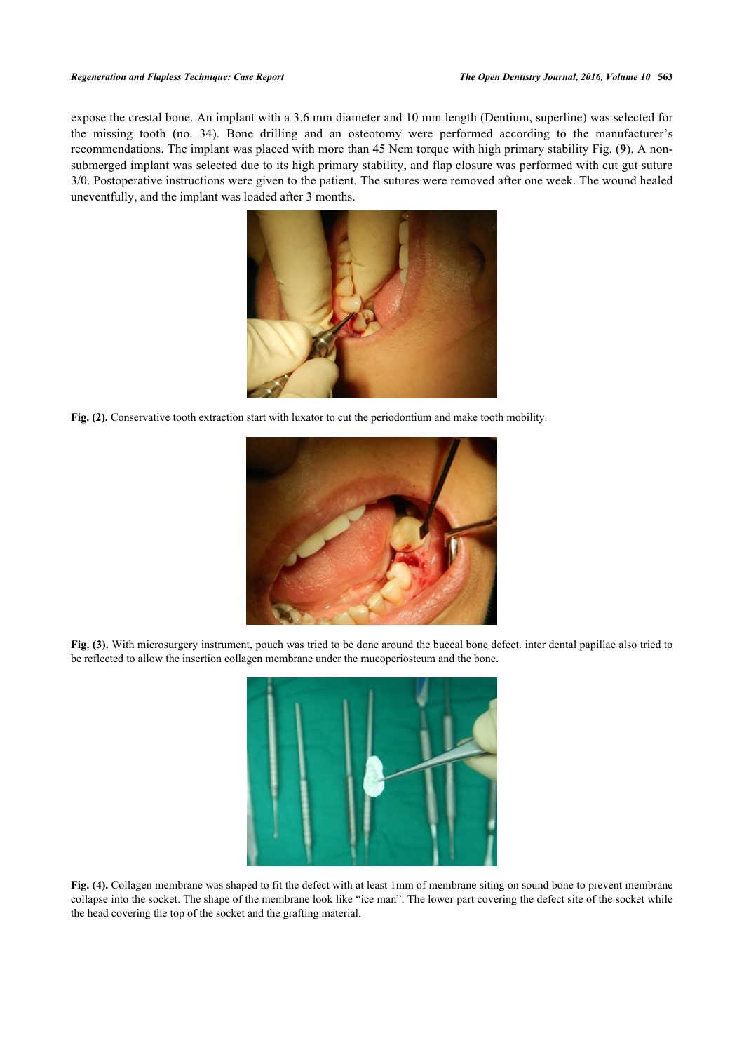#### *Regeneration and Flapless Technique: Case Report The Open Dentistry Journal, 2016, Volume 10* **563**

<span id="page-2-0"></span>expose the crestal bone. An implant with a 3.6 mm diameter and 10 mm length (Dentium, superline) was selected for the missing tooth (no. 34). Bone drilling and an osteotomy were performed according to the manufacturer's recommendations. The implant was placed with more than 45 Ncm torque with high primary stability Fig. (**[9](#page-4-0)**). A nonsubmerged implant was selected due to its high primary stability, and flap closure was performed with cut gut suture 3/0. Postoperative instructions were given to the patient. The sutures were removed after one week. The wound healed uneventfully, and the implant was loaded after 3 months.



<span id="page-2-1"></span>**Fig. (2).** Conservative tooth extraction start with luxator to cut the periodontium and make tooth mobility.



**Fig. (3).** With microsurgery instrument, pouch was tried to be done around the buccal bone defect. inter dental papillae also tried to be reflected to allow the insertion collagen membrane under the mucoperiosteum and the bone.

<span id="page-2-3"></span><span id="page-2-2"></span>

**Fig. (4).** Collagen membrane was shaped to fit the defect with at least 1mm of membrane siting on sound bone to prevent membrane collapse into the socket. The shape of the membrane look like "ice man". The lower part covering the defect site of the socket while the head covering the top of the socket and the grafting material.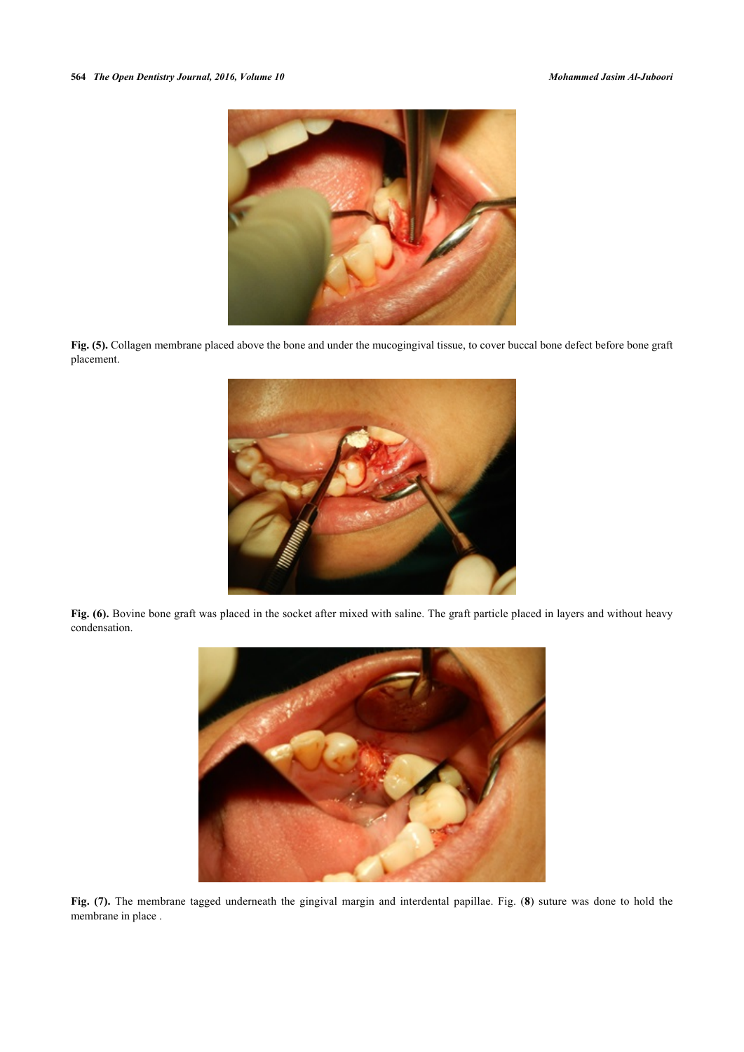

<span id="page-3-0"></span>Fig. (5). Collagen membrane placed above the bone and under the mucogingival tissue, to cover buccal bone defect before bone graft placement.



Fig. (6). Bovine bone graft was placed in the socket after mixed with saline. The graft particle placed in layers and without heavy condensation.

<span id="page-3-2"></span><span id="page-3-1"></span>

**Fig. (7).** The membrane tagged underneath the gingival margin and interdental papillae. Fig. (**[8](#page-3-1)**) suture was done to hold the membrane in place .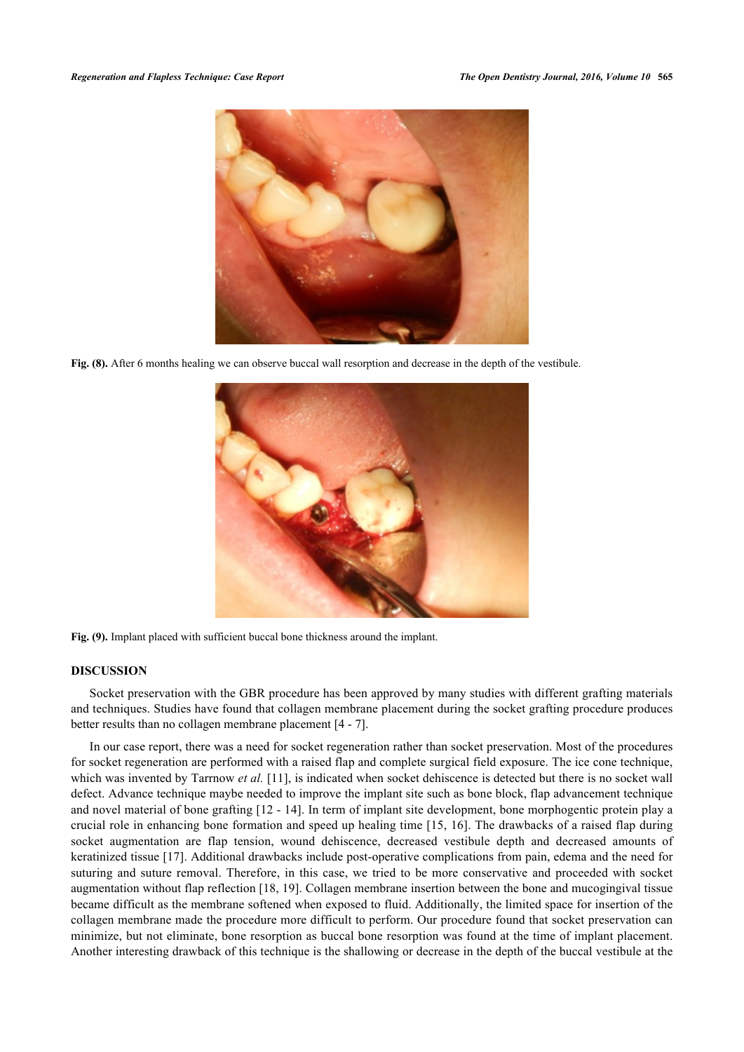

**Fig. (8).** After 6 months healing we can observe buccal wall resorption and decrease in the depth of the vestibule.

<span id="page-4-0"></span>

**Fig. (9).** Implant placed with sufficient buccal bone thickness around the implant.

#### **DISCUSSION**

Socket preservation with the GBR procedure has been approved by many studies with different grafting materials and techniques. Studies have found that collagen membrane placement during the socket grafting procedure produces better results than no collagen membrane placement [[4](#page-5-3) - [7](#page-5-4)].

In our case report, there was a need for socket regeneration rather than socket preservation. Most of the procedures for socket regeneration are performed with a raised flap and complete surgical field exposure. The ice cone technique, which was invented by Tarrnow *et al.* [\[11](#page-5-9)], is indicated when socket dehiscence is detected but there is no socket wall defect. Advance technique maybe needed to improve the implant site such as bone block, flap advancement technique and novel material of bone grafting [[12](#page-5-10) - [14\]](#page-6-0). In term of implant site development, bone morphogentic protein play a crucial role in enhancing bone formation and speed up healing time [[15](#page-6-1), [16](#page-6-2)]. The drawbacks of a raised flap during socket augmentation are flap tension, wound dehiscence, decreased vestibule depth and decreased amounts of keratinized tissue [[17\]](#page-6-3). Additional drawbacks include post-operative complications from pain, edema and the need for suturing and suture removal. Therefore, in this case, we tried to be more conservative and proceeded with socket augmentation without flap reflection [[18,](#page-6-4) [19](#page-6-5)]. Collagen membrane insertion between the bone and mucogingival tissue became difficult as the membrane softened when exposed to fluid. Additionally, the limited space for insertion of the collagen membrane made the procedure more difficult to perform. Our procedure found that socket preservation can minimize, but not eliminate, bone resorption as buccal bone resorption was found at the time of implant placement. Another interesting drawback of this technique is the shallowing or decrease in the depth of the buccal vestibule at the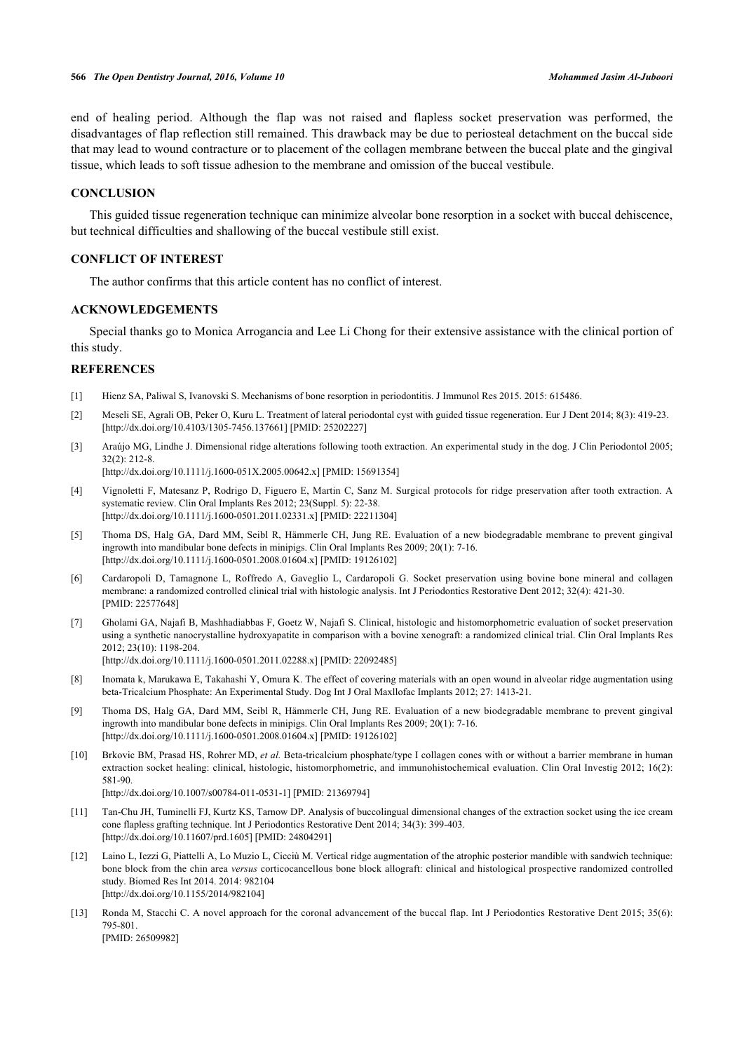end of healing period. Although the flap was not raised and flapless socket preservation was performed, the disadvantages of flap reflection still remained. This drawback may be due to periosteal detachment on the buccal side that may lead to wound contracture or to placement of the collagen membrane between the buccal plate and the gingival tissue, which leads to soft tissue adhesion to the membrane and omission of the buccal vestibule.

## **CONCLUSION**

This guided tissue regeneration technique can minimize alveolar bone resorption in a socket with buccal dehiscence, but technical difficulties and shallowing of the buccal vestibule still exist.

#### **CONFLICT OF INTEREST**

The author confirms that this article content has no conflict of interest.

## **ACKNOWLEDGEMENTS**

Special thanks go to Monica Arrogancia and Lee Li Chong for their extensive assistance with the clinical portion of this study.

#### **REFERENCES**

- <span id="page-5-0"></span>[1] Hienz SA, Paliwal S, Ivanovski S. Mechanisms of bone resorption in periodontitis. J Immunol Res 2015. 2015: 615486.
- <span id="page-5-1"></span>[2] Meseli SE, Agrali OB, Peker O, Kuru L. Treatment of lateral periodontal cyst with guided tissue regeneration. Eur J Dent 2014; 8(3): 419-23. [\[http://dx.doi.org/10.4103/1305-7456.137661](http://dx.doi.org/10.4103/1305-7456.137661)] [PMID: [25202227](http://www.ncbi.nlm.nih.gov/pubmed/25202227)]
- <span id="page-5-2"></span>[3] Araújo MG, Lindhe J. Dimensional ridge alterations following tooth extraction. An experimental study in the dog. J Clin Periodontol 2005; 32(2): 212-8.

[\[http://dx.doi.org/10.1111/j.1600-051X.2005.00642.x](http://dx.doi.org/10.1111/j.1600-051X.2005.00642.x)] [PMID: [15691354](http://www.ncbi.nlm.nih.gov/pubmed/15691354)]

- <span id="page-5-3"></span>[4] Vignoletti F, Matesanz P, Rodrigo D, Figuero E, Martin C, Sanz M. Surgical protocols for ridge preservation after tooth extraction. A systematic review. Clin Oral Implants Res 2012; 23(Suppl. 5): 22-38. [\[http://dx.doi.org/10.1111/j.1600-0501.2011.02331.x\]](http://dx.doi.org/10.1111/j.1600-0501.2011.02331.x) [PMID: [22211304](http://www.ncbi.nlm.nih.gov/pubmed/22211304)]
- [5] Thoma DS, Halg GA, Dard MM, Seibl R, Hämmerle CH, Jung RE. Evaluation of a new biodegradable membrane to prevent gingival ingrowth into mandibular bone defects in minipigs. Clin Oral Implants Res 2009; 20(1): 7-16. [\[http://dx.doi.org/10.1111/j.1600-0501.2008.01604.x\]](http://dx.doi.org/10.1111/j.1600-0501.2008.01604.x) [PMID: [19126102](http://www.ncbi.nlm.nih.gov/pubmed/19126102)]
- <span id="page-5-5"></span>[6] Cardaropoli D, Tamagnone L, Roffredo A, Gaveglio L, Cardaropoli G. Socket preservation using bovine bone mineral and collagen membrane: a randomized controlled clinical trial with histologic analysis. Int J Periodontics Restorative Dent 2012; 32(4): 421-30. [PMID: [22577648\]](http://www.ncbi.nlm.nih.gov/pubmed/22577648)
- <span id="page-5-4"></span>[7] Gholami GA, Najafi B, Mashhadiabbas F, Goetz W, Najafi S. Clinical, histologic and histomorphometric evaluation of socket preservation using a synthetic nanocrystalline hydroxyapatite in comparison with a bovine xenograft: a randomized clinical trial. Clin Oral Implants Res 2012; 23(10): 1198-204. [\[http://dx.doi.org/10.1111/j.1600-0501.2011.02288.x\]](http://dx.doi.org/10.1111/j.1600-0501.2011.02288.x) [PMID: [22092485](http://www.ncbi.nlm.nih.gov/pubmed/22092485)]
	-
- <span id="page-5-6"></span>[8] Inomata k, Marukawa E, Takahashi Y, Omura K. The effect of covering materials with an open wound in alveolar ridge augmentation using beta-Tricalcium Phosphate: An Experimental Study. Dog Int J Oral Maxllofac Implants 2012; 27: 1413-21.
- <span id="page-5-7"></span>[9] Thoma DS, Halg GA, Dard MM, Seibl R, Hämmerle CH, Jung RE. Evaluation of a new biodegradable membrane to prevent gingival ingrowth into mandibular bone defects in minipigs. Clin Oral Implants Res 2009; 20(1): 7-16. [\[http://dx.doi.org/10.1111/j.1600-0501.2008.01604.x\]](http://dx.doi.org/10.1111/j.1600-0501.2008.01604.x) [PMID: [19126102](http://www.ncbi.nlm.nih.gov/pubmed/19126102)]
- <span id="page-5-8"></span>[10] Brkovic BM, Prasad HS, Rohrer MD, *et al.* Beta-tricalcium phosphate/type I collagen cones with or without a barrier membrane in human extraction socket healing: clinical, histologic, histomorphometric, and immunohistochemical evaluation. Clin Oral Investig 2012; 16(2): 581-90.

[\[http://dx.doi.org/10.1007/s00784-011-0531-1\]](http://dx.doi.org/10.1007/s00784-011-0531-1) [PMID: [21369794](http://www.ncbi.nlm.nih.gov/pubmed/21369794)]

- <span id="page-5-9"></span>[11] Tan-Chu JH, Tuminelli FJ, Kurtz KS, Tarnow DP. Analysis of buccolingual dimensional changes of the extraction socket using the ice cream cone flapless grafting technique. Int J Periodontics Restorative Dent 2014; 34(3): 399-403. [\[http://dx.doi.org/10.11607/prd.1605](http://dx.doi.org/10.11607/prd.1605)] [PMID: [24804291](http://www.ncbi.nlm.nih.gov/pubmed/24804291)]
- <span id="page-5-10"></span>[12] Laino L, Iezzi G, Piattelli A, Lo Muzio L, Cicciù M. Vertical ridge augmentation of the atrophic posterior mandible with sandwich technique: bone block from the chin area *versus* corticocancellous bone block allograft: clinical and histological prospective randomized controlled study. Biomed Res Int 2014. 2014: 982104 [\[http://dx.doi.org/10.1155/2014/982104](http://dx.doi.org/10.1155/2014/982104)]
- [13] Ronda M, Stacchi C. A novel approach for the coronal advancement of the buccal flap. Int J Periodontics Restorative Dent 2015; 35(6): 795-801.

[PMID: [26509982\]](http://www.ncbi.nlm.nih.gov/pubmed/26509982)